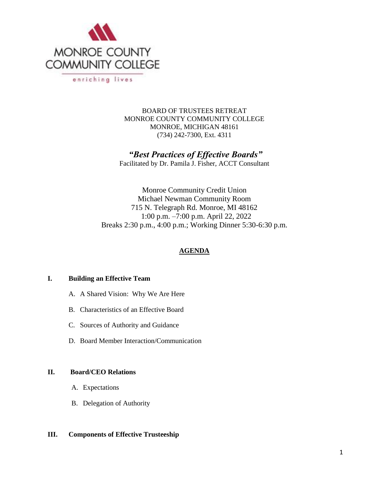

BOARD OF TRUSTEES RETREAT MONROE COUNTY COMMUNITY COLLEGE MONROE, MICHIGAN 48161 (734) 242-7300, Ext. 4311

*"Best Practices of Effective Boards"*

Facilitated by Dr. Pamila J. Fisher, ACCT Consultant

Monroe Community Credit Union Michael Newman Community Room 715 N. Telegraph Rd. Monroe, MI 48162 1:00 p.m. –7:00 p.m. April 22, 2022 Breaks 2:30 p.m., 4:00 p.m.; Working Dinner 5:30-6:30 p.m.

#### **AGENDA**

#### **I. Building an Effective Team**

- A. A Shared Vision: Why We Are Here
- B. Characteristics of an Effective Board
- C. Sources of Authority and Guidance
- D. Board Member Interaction/Communication

#### **II. Board/CEO Relations**

- A. Expectations
- B. Delegation of Authority

#### **III. Components of Effective Trusteeship**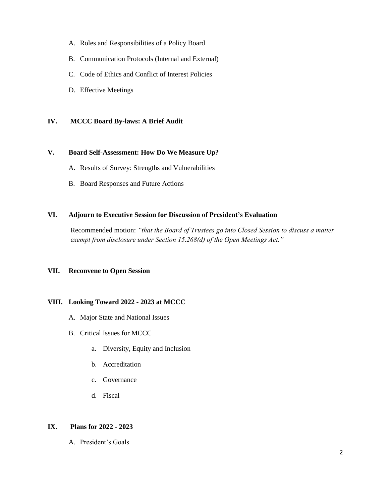- A. Roles and Responsibilities of a Policy Board
- B. Communication Protocols (Internal and External)
- C. Code of Ethics and Conflict of Interest Policies
- D. Effective Meetings

#### **IV. MCCC Board By-laws: A Brief Audit**

#### **V. Board Self-Assessment: How Do We Measure Up?**

- A. Results of Survey: Strengths and Vulnerabilities
- B. Board Responses and Future Actions

#### **VI. Adjourn to Executive Session for Discussion of President's Evaluation**

Recommended motion: *"that the Board of Trustees go into Closed Session to discuss a matter exempt from disclosure under Section 15.268(d) of the Open Meetings Act."*

#### **VII. Reconvene to Open Session**

#### **VIII. Looking Toward 2022 - 2023 at MCCC**

- A. Major State and National Issues
- B. Critical Issues for MCCC
	- a. Diversity, Equity and Inclusion
	- b. Accreditation
	- c. Governance
	- d. Fiscal

### **IX. Plans for 2022 - 2023**

A. President's Goals